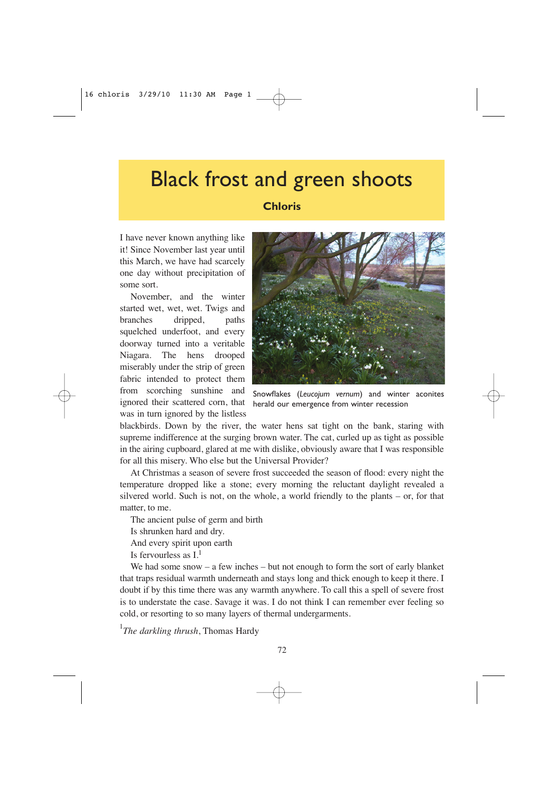## Black frost and green shoots

## **Chloris**

I have never known anything like it! Since November last year until this March, we have had scarcely one day without precipitation of some sort.

November, and the winter started wet, wet, wet. Twigs and branches dripped, paths squelched underfoot, and every doorway turned into a veritable Niagara. The hens drooped miserably under the strip of green fabric intended to protect them from scorching sunshine and ignored their scattered corn, that was in turn ignored by the listless



Snowflakes (*Leucojum vernum*) and winter aconites herald our emergence from winter recession

blackbirds. Down by the river, the water hens sat tight on the bank, staring with supreme indifference at the surging brown water. The cat, curled up as tight as possible in the airing cupboard, glared at me with dislike, obviously aware that I was responsible for all this misery. Who else but the Universal Provider?

At Christmas a season of severe frost succeeded the season of flood: every night the temperature dropped like a stone; every morning the reluctant daylight revealed a silvered world. Such is not, on the whole, a world friendly to the plants – or, for that matter, to me.

The ancient pulse of germ and birth

Is shrunken hard and dry.

And every spirit upon earth

Is fervourless as  $I<sup>1</sup>$ 

We had some snow  $-$  a few inches  $-$  but not enough to form the sort of early blanket that traps residual warmth underneath and stays long and thick enough to keep it there. I doubt if by this time there was any warmth anywhere. To call this a spell of severe frost is to understate the case. Savage it was. I do not think I can remember ever feeling so cold, or resorting to so many layers of thermal undergarments.

1 *The darkling thrush*, Thomas Hardy